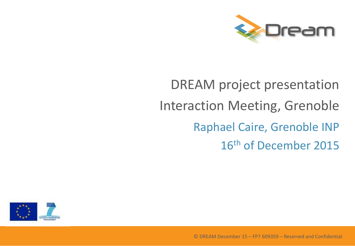

# DREAM project presentation Interaction Meeting, Grenoble Raphael Caire, Grenoble INP 16th of December 2015

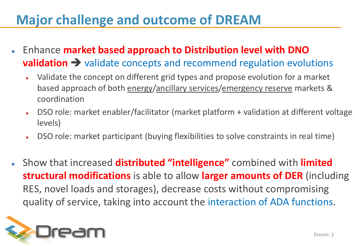## **Major challenge and outcome of DREAM**

- Enhance **market based approach to Distribution level with DNO validation**  $\rightarrow$  validate concepts and recommend regulation evolutions
	- Validate the concept on different grid types and propose evolution for a market based approach of both energy/ancillary services/emergency reserve markets & coordination
	- DSO role: market enabler/facilitator (market platform + validation at different voltage levels)
	- DSO role: market participant (buying flexibilities to solve constraints in real time)
- Show that increased **distributed "intelligence"** combined with **limited structural modifications** is able to allow **larger amounts of DER** (including RES, novel loads and storages), decrease costs without compromising quality of service, taking into account the interaction of ADA functions.

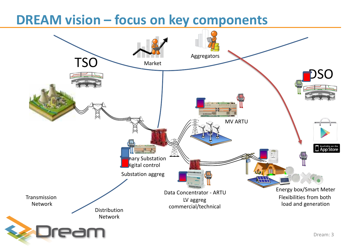#### **DREAM vision – focus on key components**

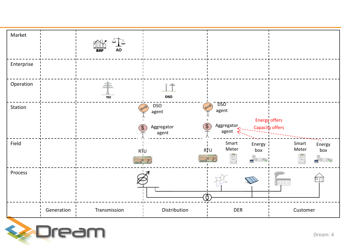

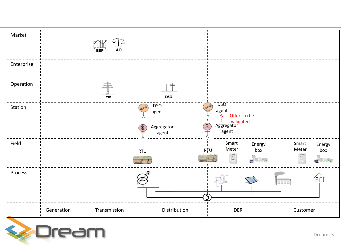

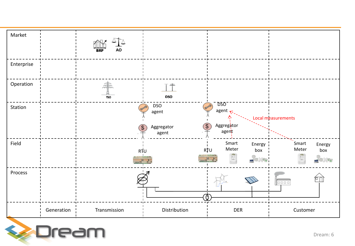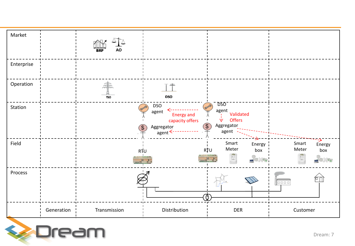

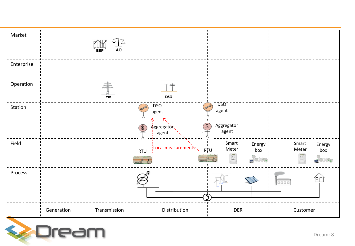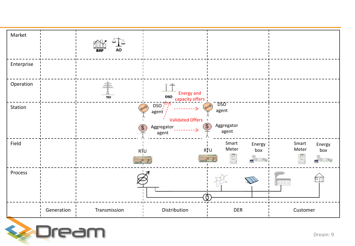

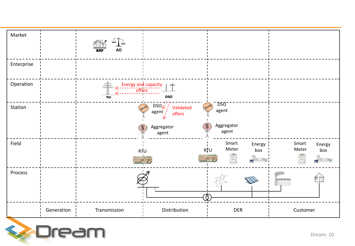

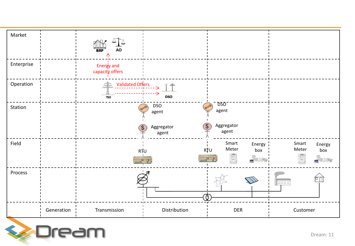

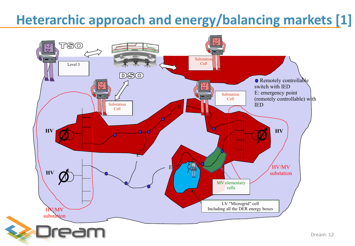## **Heterarchic approach and energy/balancing markets [1]**



Dream: 12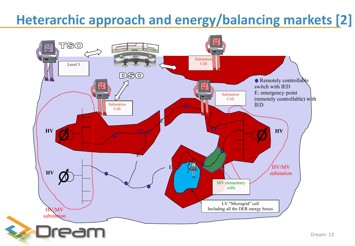## **Heterarchic approach and energy/balancing markets [2]**